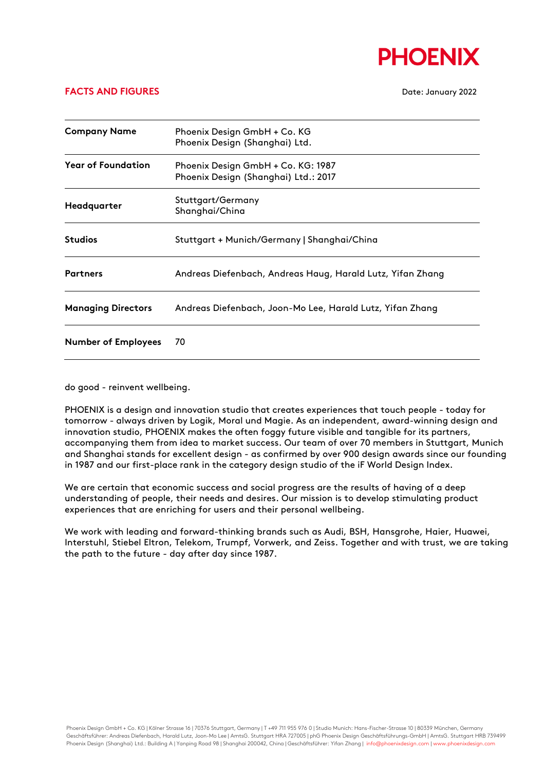

## **FACTS AND FIGURES** Date: January 2022

| <b>Company Name</b>        | Phoenix Design GmbH + Co. KG<br>Phoenix Design (Shanghai) Ltd.             |
|----------------------------|----------------------------------------------------------------------------|
| <b>Year of Foundation</b>  | Phoenix Design GmbH + Co. KG: 1987<br>Phoenix Design (Shanghai) Ltd.: 2017 |
| Headquarter                | Stuttgart/Germany<br>Shanghai/China                                        |
| <b>Studios</b>             | Stuttgart + Munich/Germany   Shanghai/China                                |
| <b>Partners</b>            | Andreas Diefenbach, Andreas Haug, Harald Lutz, Yifan Zhang                 |
| <b>Managing Directors</b>  | Andreas Diefenbach, Joon-Mo Lee, Harald Lutz, Yifan Zhang                  |
| <b>Number of Employees</b> | 70                                                                         |

do good - reinvent wellbeing.

PHOENIX is a design and innovation studio that creates experiences that touch people - today for tomorrow - always driven by Logik, Moral und Magie. As an independent, award-winning design and innovation studio, PHOENIX makes the often foggy future visible and tangible for its partners, accompanying them from idea to market success. Our team of over 70 members in Stuttgart, Munich and Shanghai stands for excellent design - as confirmed by over 900 design awards since our founding in 1987 and our first-place rank in the category design studio of the iF World Design Index.

We are certain that economic success and social progress are the results of having of a deep understanding of people, their needs and desires. Our mission is to develop stimulating product experiences that are enriching for users and their personal wellbeing.

We work with leading and forward-thinking brands such as Audi, BSH, Hansgrohe, Haier, Huawei, Interstuhl, Stiebel Eltron, Telekom, Trumpf, Vorwerk, and Zeiss. Together and with trust, we are taking the path to the future - day after day since 1987.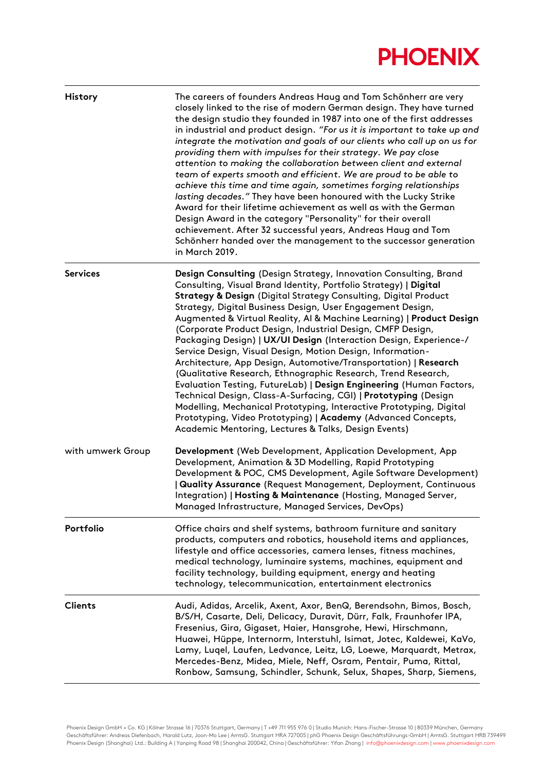## **PHOENIX**

| <b>History</b>    | The careers of founders Andreas Haug and Tom Schönherr are very<br>closely linked to the rise of modern German design. They have turned<br>the design studio they founded in 1987 into one of the first addresses<br>in industrial and product design. "For us it is important to take up and<br>integrate the motivation and goals of our clients who call up on us for<br>providing them with impulses for their strategy. We pay close<br>attention to making the collaboration between client and external<br>team of experts smooth and efficient. We are proud to be able to<br>achieve this time and time again, sometimes forging relationships<br>lasting decades." They have been honoured with the Lucky Strike<br>Award for their lifetime achievement as well as with the German<br>Design Award in the category "Personality" for their overall<br>achievement. After 32 successful years, Andreas Haug and Tom<br>Schönherr handed over the management to the successor generation<br>in March 2019.                      |
|-------------------|------------------------------------------------------------------------------------------------------------------------------------------------------------------------------------------------------------------------------------------------------------------------------------------------------------------------------------------------------------------------------------------------------------------------------------------------------------------------------------------------------------------------------------------------------------------------------------------------------------------------------------------------------------------------------------------------------------------------------------------------------------------------------------------------------------------------------------------------------------------------------------------------------------------------------------------------------------------------------------------------------------------------------------------|
| <b>Services</b>   | Design Consulting (Design Strategy, Innovation Consulting, Brand<br>Consulting, Visual Brand Identity, Portfolio Strategy)   Digital<br><b>Strategy &amp; Design (Digital Strategy Consulting, Digital Product</b><br>Strategy, Digital Business Design, User Engagement Design,<br>Augmented & Virtual Reality, AI & Machine Learning)   Product Design<br>(Corporate Product Design, Industrial Design, CMFP Design,<br>Packaging Design)   UX/UI Design (Interaction Design, Experience-/<br>Service Design, Visual Design, Motion Design, Information-<br>Architecture, App Design, Automotive/Transportation)   Research<br>(Qualitative Research, Ethnographic Research, Trend Research,<br>Evaluation Testing, FutureLab)   Design Engineering (Human Factors,<br>Technical Design, Class-A-Surfacing, CGI)   Prototyping (Design<br>Modelling, Mechanical Prototyping, Interactive Prototyping, Digital<br>Prototyping, Video Prototyping)   Academy (Advanced Concepts,<br>Academic Mentoring, Lectures & Talks, Design Events) |
| with umwerk Group | Development (Web Development, Application Development, App<br>Development, Animation & 3D Modelling, Rapid Prototyping<br>Development & POC, CMS Development, Agile Software Development)<br>  Quality Assurance (Request Management, Deployment, Continuous<br>Integration)   Hosting & Maintenance (Hosting, Managed Server,<br>Managed Infrastructure, Managed Services, DevOps)                                                                                                                                                                                                                                                                                                                                                                                                                                                                                                                                                                                                                                                      |
| Portfolio         | Office chairs and shelf systems, bathroom furniture and sanitary<br>products, computers and robotics, household items and appliances,<br>lifestyle and office accessories, camera lenses, fitness machines,<br>medical technology, luminaire systems, machines, equipment and<br>facility technology, building equipment, energy and heating<br>technology, telecommunication, entertainment electronics                                                                                                                                                                                                                                                                                                                                                                                                                                                                                                                                                                                                                                 |
| <b>Clients</b>    | Audi, Adidas, Arcelik, Axent, Axor, BenQ, Berendsohn, Bimos, Bosch,<br>B/S/H, Casarte, Deli, Delicacy, Duravit, Dürr, Falk, Fraunhofer IPA,<br>Fresenius, Gira, Gigaset, Haier, Hansgrohe, Hewi, Hirschmann,<br>Huawei, Hüppe, Internorm, Interstuhl, Isimat, Jotec, Kaldewei, KaVo,<br>Lamy, Luqel, Laufen, Ledvance, Leitz, LG, Loewe, Marquardt, Metrax,<br>Mercedes-Benz, Midea, Miele, Neff, Osram, Pentair, Puma, Rittal,<br>Ronbow, Samsung, Schindler, Schunk, Selux, Shapes, Sharp, Siemens,                                                                                                                                                                                                                                                                                                                                                                                                                                                                                                                                    |